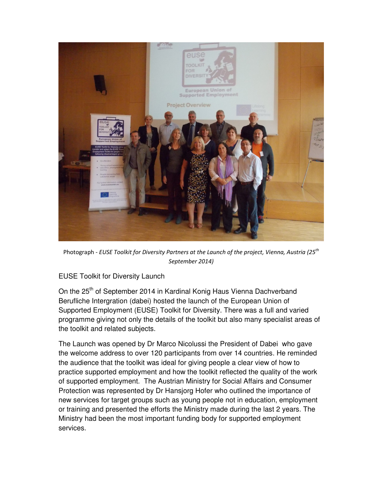

Photograph - EUSE Toolkit for Diversity Partners at the Launch of the project, Vienna, Austria (25<sup>th</sup>) September 2014)

## EUSE Toolkit for Diversity Launch

On the 25<sup>th</sup> of September 2014 in Kardinal Konig Haus Vienna Dachverband Berufliche Intergration (dabei) hosted the launch of the European Union of Supported Employment (EUSE) Toolkit for Diversity. There was a full and varied programme giving not only the details of the toolkit but also many specialist areas of the toolkit and related subjects.

The Launch was opened by Dr Marco Nicolussi the President of Dabei who gave the welcome address to over 120 participants from over 14 countries. He reminded the audience that the toolkit was ideal for giving people a clear view of how to practice supported employment and how the toolkit reflected the quality of the work of supported employment. The Austrian Ministry for Social Affairs and Consumer Protection was represented by Dr Hansjorg Hofer who outlined the importance of new services for target groups such as young people not in education, employment or training and presented the efforts the Ministry made during the last 2 years. The Ministry had been the most important funding body for supported employment services.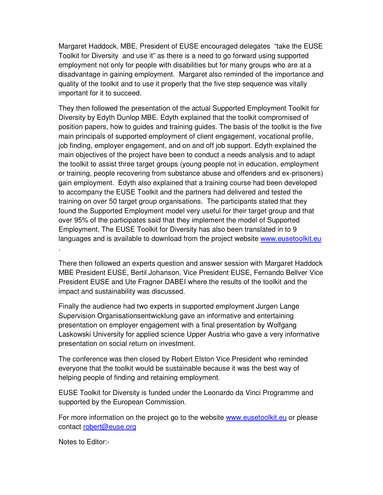Margaret Haddock, MBE, President of EUSE encouraged delegates "take the EUSE Toolkit for Diversity and use it" as there is a need to go forward using supported employment not only for people with disabilities but for many groups who are at a disadvantage in gaining employment. Margaret also reminded of the importance and quality of the toolkit and to use it properly that the five step sequence was vitally important for it to succeed.

They then followed the presentation of the actual Supported Employment Toolkit for Diversity by Edyth Dunlop MBE. Edyth explained that the toolkit compromised of position papers, how to guides and training guides. The basis of the toolkit is the five main principals of supported employment of client engagement, vocational profile, job finding, employer engagement, and on and off job support. Edyth explained the main objectives of the project have been to conduct a needs analysis and to adapt the toolkit to assist three target groups (young people not in education, employment or training, people recovering from substance abuse and offenders and ex-prisoners) gain employment. Edyth also explained that a training course had been developed to accompany the EUSE Toolkit and the partners had delivered and tested the training on over 50 target group organisations. The participants stated that they found the Supported Employment model very useful for their target group and that over 95% of the participates said that they implement the model of Supported Employment. The EUSE Toolkit for Diversity has also been translated in to 9 languages and is available to download from the project website www.eusetoolkit.eu .

There then followed an experts question and answer session with Margaret Haddock MBE President EUSE, Bertil Johanson, Vice President EUSE, Fernando Bellver Vice President EUSE and Ute Fragner DABEI where the results of the toolkit and the impact and sustainability was discussed.

Finally the audience had two experts in supported employment Jurgen Lange Supervision Organisationsentwicklung gave an informative and entertaining presentation on employer engagement with a final presentation by Wolfgang Laskowski University for applied science Upper Austria who gave a very informative presentation on social return on investment.

The conference was then closed by Robert Elston Vice President who reminded everyone that the toolkit would be sustainable because it was the best way of helping people of finding and retaining employment.

EUSE Toolkit for Diversity is funded under the Leonardo da Vinci Programme and supported by the European Commission.

For more information on the project go to the website www.eusetoolkit.eu or please contact robert@euse.org

Notes to Editor:-